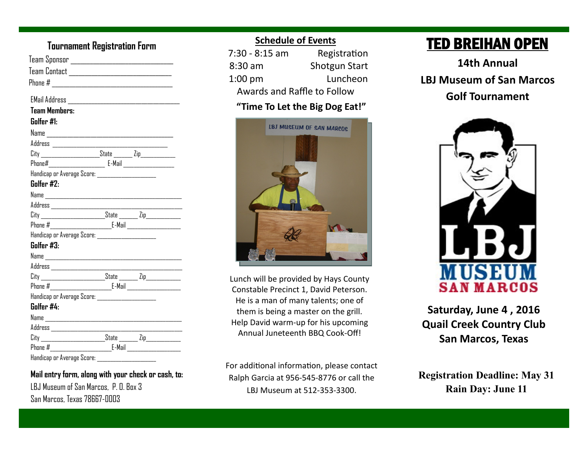# **Tournament Registration Form**

| Team Contact _________________________________         |  |  |
|--------------------------------------------------------|--|--|
|                                                        |  |  |
|                                                        |  |  |
|                                                        |  |  |
| <b>Team Members:</b>                                   |  |  |
| Golfer #1:                                             |  |  |
|                                                        |  |  |
|                                                        |  |  |
|                                                        |  |  |
| Phone#_____________________ E-Mail ___________________ |  |  |
| Handicap or Average Score: _______________________     |  |  |
| Golfer #2:                                             |  |  |
|                                                        |  |  |
|                                                        |  |  |
|                                                        |  |  |
|                                                        |  |  |
| Handicap or Average Score: ______________________      |  |  |
| Golfer #3:                                             |  |  |
|                                                        |  |  |
|                                                        |  |  |
|                                                        |  |  |
|                                                        |  |  |
| Handicap or Average Score: _____________________       |  |  |
| Golfer #4:                                             |  |  |
|                                                        |  |  |
|                                                        |  |  |
|                                                        |  |  |
|                                                        |  |  |
| Handicap or Average Score:                             |  |  |

**Mail entry form, along with your check or cash, to:** LBJ Museum of San Marcos, P. O. Box 3 San Marcos, Texas 78667-0003

# **Schedule of Events**

| 7:30 - 8:15 am                 | Registration         |  |
|--------------------------------|----------------------|--|
| $8:30$ am                      | <b>Shotgun Start</b> |  |
| $1:00$ pm                      | Luncheon             |  |
| Awards and Raffle to Follow    |                      |  |
| "Time To Let the Big Dog Eat!" |                      |  |



Lunch will be provided by Hays County Constable Precinct 1, David Peterson. He is a man of many talents; one of them is being a master on the grill. Help David warm-up for his upcoming Annual Juneteenth BBQ Cook-Off!

For additional information, please contact Ralph Garcia at 956-545-8776 or call the LBJ Museum at 512-353-3300.

# TED BREIHAN OPEN

**14th Annual LBJ Museum of San Marcos Golf Tournament**



**Saturday, June 4 , 2016 Quail Creek Country Club San Marcos, Texas**

**Registration Deadline: May 31 Rain Day: June 11**